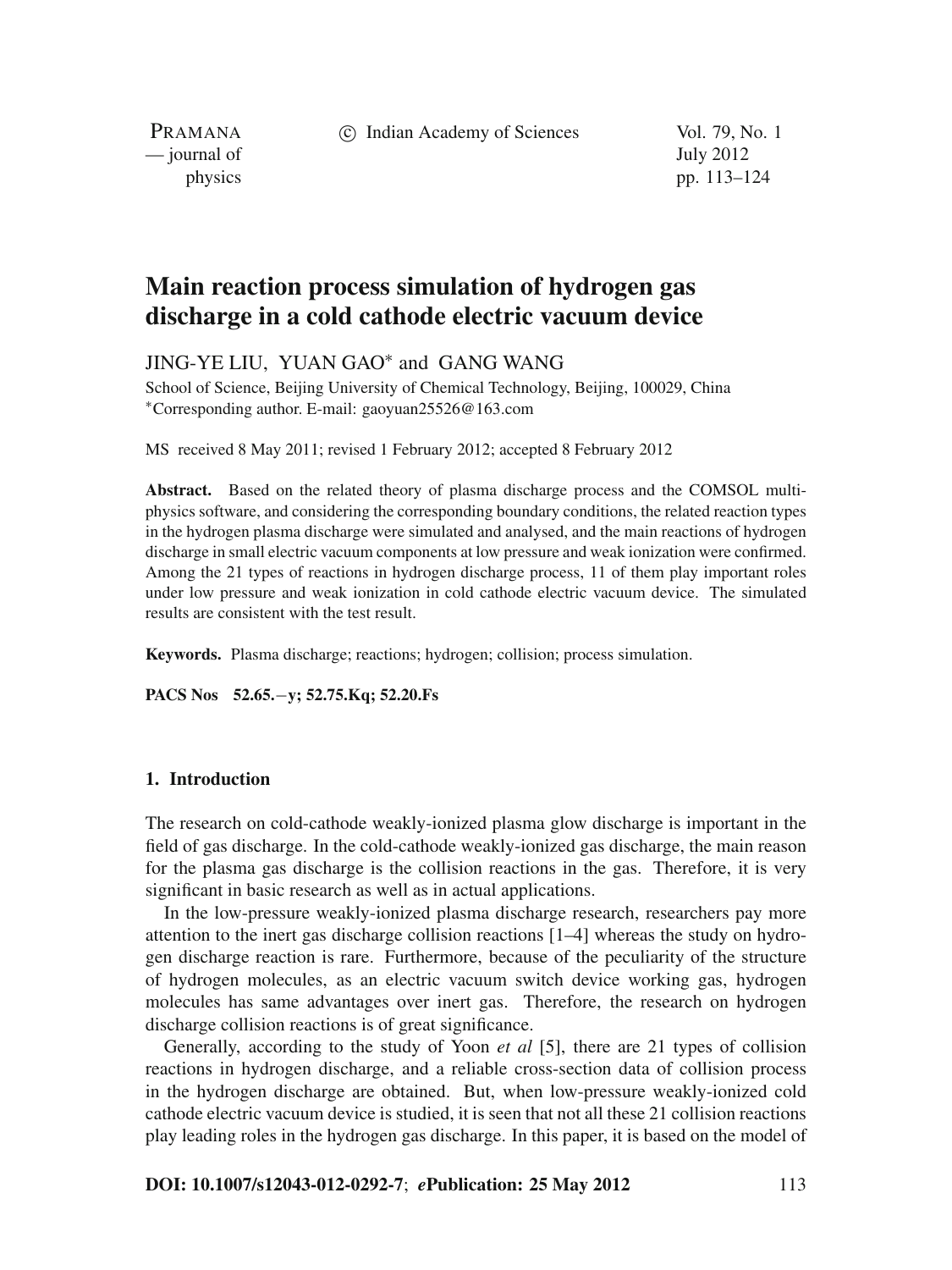c Indian Academy of Sciences Vol. 79, No. 1

PRAMANA — journal of July 2012

physics pp. 113–124

# **Main reaction process simulation of hydrogen gas discharge in a cold cathode electric vacuum device**

JING-YE LIU, YUAN GAO<sup>∗</sup> and GANG WANG

School of Science, Beijing University of Chemical Technology, Beijing, 100029, China <sup>∗</sup>Corresponding author. E-mail: gaoyuan25526@163.com

MS received 8 May 2011; revised 1 February 2012; accepted 8 February 2012

**Abstract.** Based on the related theory of plasma discharge process and the COMSOL multiphysics software, and considering the corresponding boundary conditions, the related reaction types in the hydrogen plasma discharge were simulated and analysed, and the main reactions of hydrogen discharge in small electric vacuum components at low pressure and weak ionization were confirmed. Among the 21 types of reactions in hydrogen discharge process, 11 of them play important roles under low pressure and weak ionization in cold cathode electric vacuum device. The simulated results are consistent with the test result.

**Keywords.** Plasma discharge; reactions; hydrogen; collision; process simulation.

**PACS Nos 52.65.**−**y; 52.75.Kq; 52.20.Fs**

### **1. Introduction**

The research on cold-cathode weakly-ionized plasma glow discharge is important in the field of gas discharge. In the cold-cathode weakly-ionized gas discharge, the main reason for the plasma gas discharge is the collision reactions in the gas. Therefore, it is very significant in basic research as well as in actual applications.

In the low-pressure weakly-ionized plasma discharge research, researchers pay more attention to the inert gas discharge collision reactions [1–4] whereas the study on hydrogen discharge reaction is rare. Furthermore, because of the peculiarity of the structure of hydrogen molecules, as an electric vacuum switch device working gas, hydrogen molecules has same advantages over inert gas. Therefore, the research on hydrogen discharge collision reactions is of great significance.

Generally, according to the study of Yoon *et al* [5], there are 21 types of collision reactions in hydrogen discharge, and a reliable cross-section data of collision process in the hydrogen discharge are obtained. But, when low-pressure weakly-ionized cold cathode electric vacuum device is studied, it is seen that not all these 21 collision reactions play leading roles in the hydrogen gas discharge. In this paper, it is based on the model of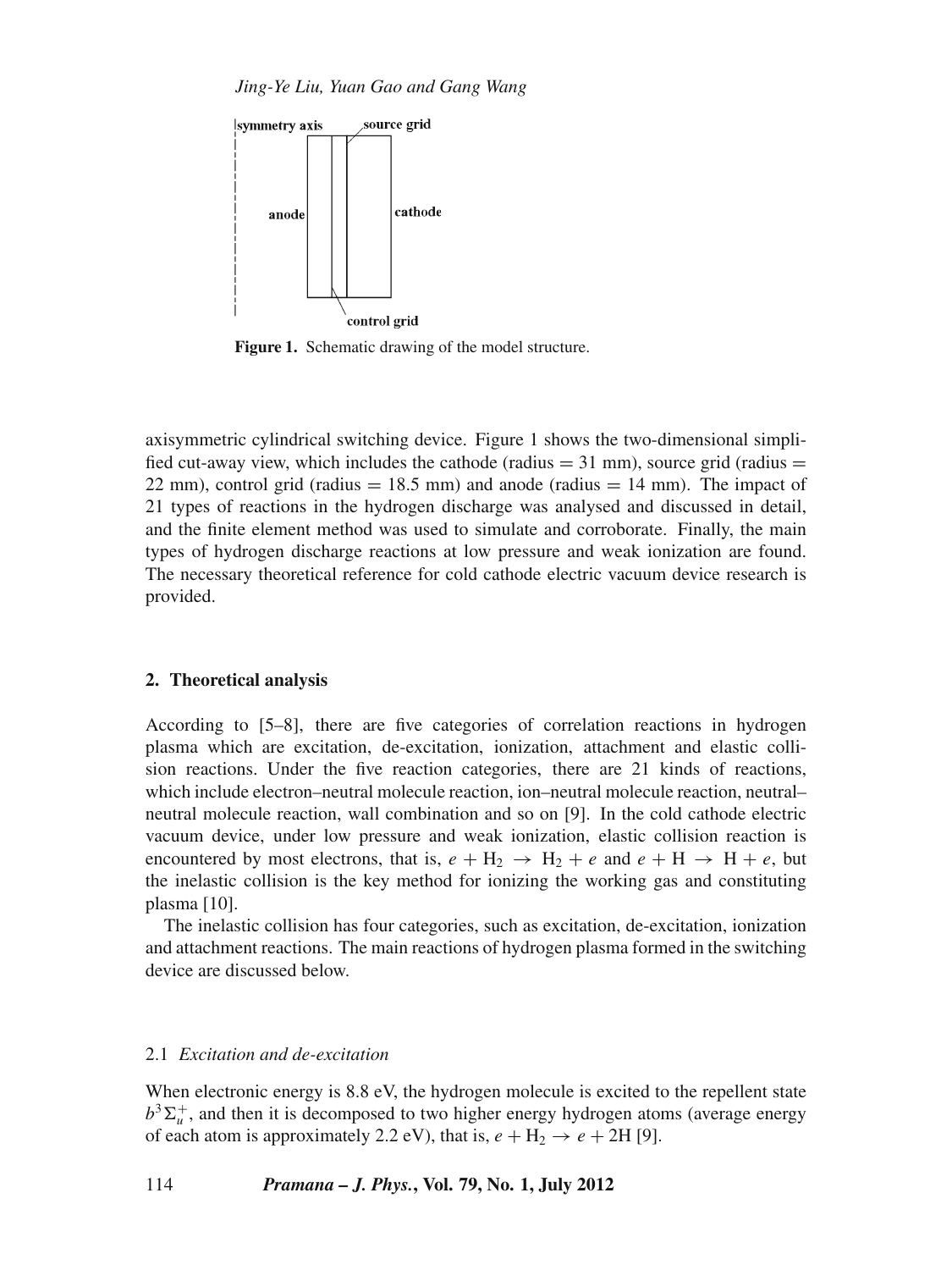*Jing-Ye Liu, Yuan Gao and Gang Wang*



**Figure 1.** Schematic drawing of the model structure.

axisymmetric cylindrical switching device. Figure 1 shows the two-dimensional simplified cut-away view, which includes the cathode (radius  $= 31$  mm), source grid (radius  $=$ 22 mm), control grid (radius  $= 18.5$  mm) and anode (radius  $= 14$  mm). The impact of 21 types of reactions in the hydrogen discharge was analysed and discussed in detail, and the finite element method was used to simulate and corroborate. Finally, the main types of hydrogen discharge reactions at low pressure and weak ionization are found. The necessary theoretical reference for cold cathode electric vacuum device research is provided.

### **2. Theoretical analysis**

According to [5–8], there are five categories of correlation reactions in hydrogen plasma which are excitation, de-excitation, ionization, attachment and elastic collision reactions. Under the five reaction categories, there are 21 kinds of reactions, which include electron–neutral molecule reaction, ion–neutral molecule reaction, neutral– neutral molecule reaction, wall combination and so on [9]. In the cold cathode electric vacuum device, under low pressure and weak ionization, elastic collision reaction is encountered by most electrons, that is,  $e + H_2 \rightarrow H_2 + e$  and  $e + H \rightarrow H + e$ , but the inelastic collision is the key method for ionizing the working gas and constituting plasma [10].

The inelastic collision has four categories, such as excitation, de-excitation, ionization and attachment reactions. The main reactions of hydrogen plasma formed in the switching device are discussed below.

### 2.1 *Excitation and de-excitation*

When electronic energy is 8.8 eV, the hydrogen molecule is excited to the repellent state  $b^3\Sigma_u^+$ , and then it is decomposed to two higher energy hydrogen atoms (average energy of each atom is approximately 2.2 eV), that is,  $e + H_2 \rightarrow e + 2H$  [9].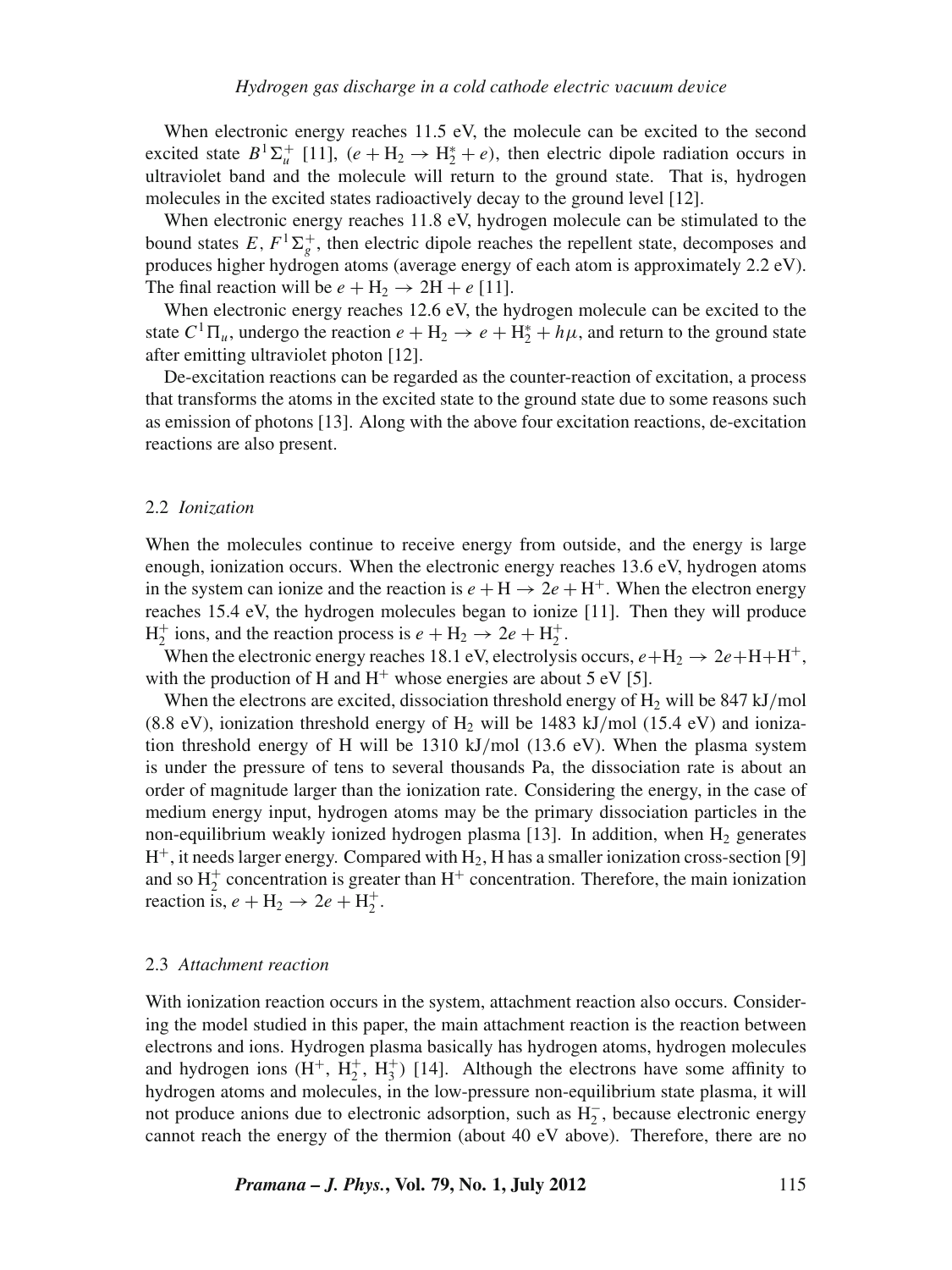When electronic energy reaches 11.5 eV, the molecule can be excited to the second excited state  $B^1\Sigma_u^+$  [11],  $(e + H_2 \rightarrow H_2^* + e)$ , then electric dipole radiation occurs in ultraviolet band and the molecule will return to the ground state. That is, hydrogen molecules in the excited states radioactively decay to the ground level [12].

When electronic energy reaches 11.8 eV, hydrogen molecule can be stimulated to the bound states  $E, F^1\Sigma_g^+$ , then electric dipole reaches the repellent state, decomposes and produces higher hydrogen atoms (average energy of each atom is approximately 2.2 eV). The final reaction will be  $e + H_2 \rightarrow 2H + e$  [11].

When electronic energy reaches 12.6 eV, the hydrogen molecule can be excited to the state  $C^1\Pi_u$ , undergo the reaction  $e + H_2 \rightarrow e + H_2^* + h\mu$ , and return to the ground state after emitting ultraviolet photon [12].

De-excitation reactions can be regarded as the counter-reaction of excitation, a process that transforms the atoms in the excited state to the ground state due to some reasons such as emission of photons [13]. Along with the above four excitation reactions, de-excitation reactions are also present.

### 2.2 *Ionization*

When the molecules continue to receive energy from outside, and the energy is large enough, ionization occurs. When the electronic energy reaches 13.6 eV, hydrogen atoms in the system can ionize and the reaction is  $e + H \rightarrow 2e + H^{+}$ . When the electron energy reaches 15.4 eV, the hydrogen molecules began to ionize [11]. Then they will produce  $H_2^+$  ions, and the reaction process is  $e + H_2 \rightarrow 2e + H_2^+$ .

When the electronic energy reaches 18.1 eV, electrolysis occurs,  $e + H_2 \rightarrow 2e + H + H^+$ , with the production of H and  $H^+$  whose energies are about 5 eV [5].

When the electrons are excited, dissociation threshold energy of  $H<sub>2</sub>$  will be 847 kJ/mol (8.8 eV), ionization threshold energy of  $H_2$  will be 1483 kJ/mol (15.4 eV) and ionization threshold energy of H will be 1310 kJ/mol (13.6 eV). When the plasma system is under the pressure of tens to several thousands Pa, the dissociation rate is about an order of magnitude larger than the ionization rate. Considering the energy, in the case of medium energy input, hydrogen atoms may be the primary dissociation particles in the non-equilibrium weakly ionized hydrogen plasma [13]. In addition, when  $H_2$  generates  $H^+$ , it needs larger energy. Compared with  $H_2$ , H has a smaller ionization cross-section [9] and so  $H_2^+$  concentration is greater than  $H^+$  concentration. Therefore, the main ionization reaction is,  $e + H_2 \rightarrow 2e + H_2^+$ .

#### 2.3 *Attachment reaction*

With ionization reaction occurs in the system, attachment reaction also occurs. Considering the model studied in this paper, the main attachment reaction is the reaction between electrons and ions. Hydrogen plasma basically has hydrogen atoms, hydrogen molecules and hydrogen ions  $(H^+, H_2^+, H_3^+)$  [14]. Although the electrons have some affinity to hydrogen atoms and molecules, in the low-pressure non-equilibrium state plasma, it will not produce anions due to electronic adsorption, such as H<sub>2</sub><sup>-</sup>, because electronic energy cannot reach the energy of the thermion (about 40 eV above). Therefore, there are no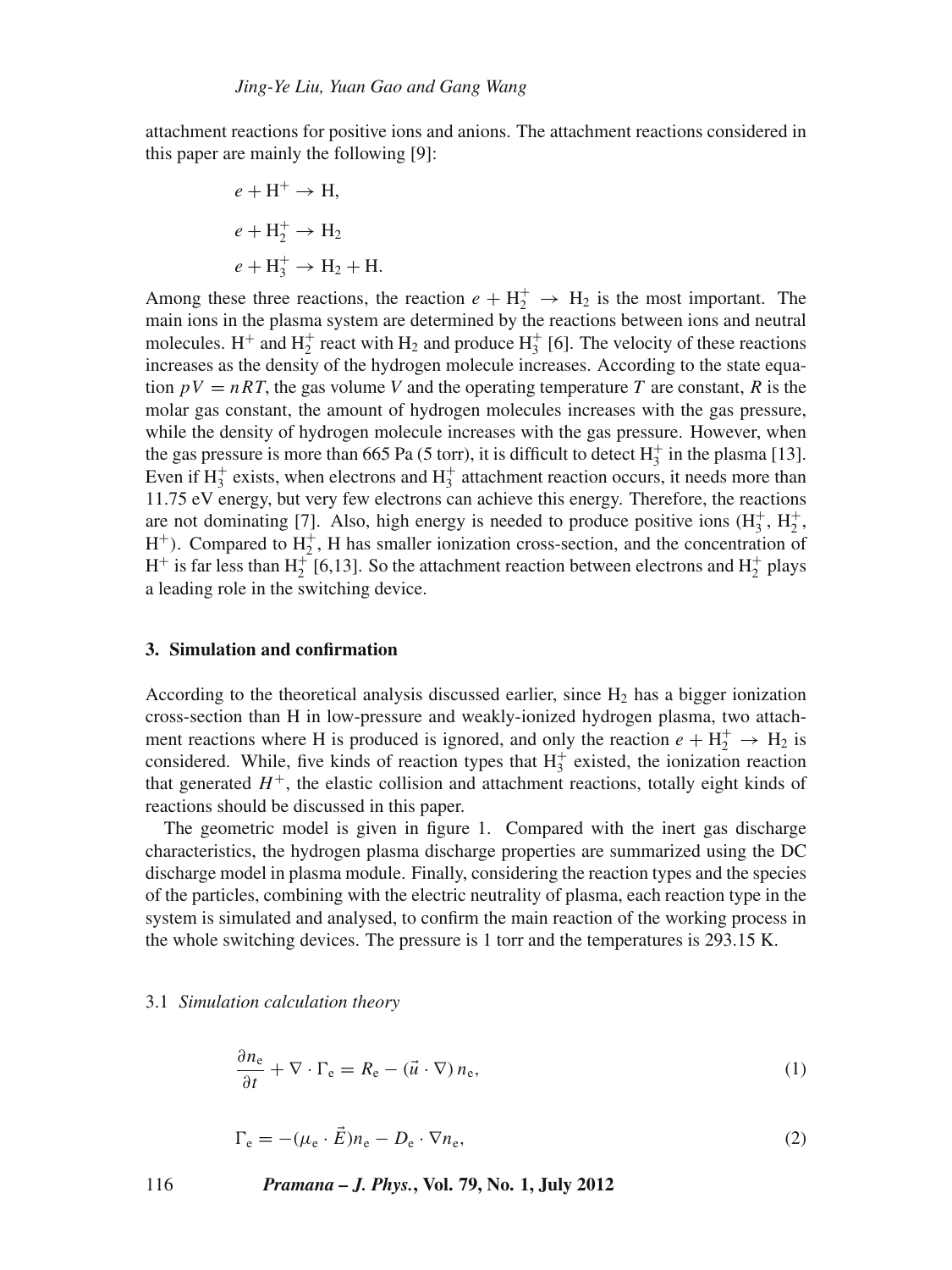attachment reactions for positive ions and anions. The attachment reactions considered in this paper are mainly the following [9]:

$$
e + H^{+} \rightarrow H,
$$
  
\n
$$
e + H_{2}^{+} \rightarrow H_{2}
$$
  
\n
$$
e + H_{3}^{+} \rightarrow H_{2} + H.
$$

Among these three reactions, the reaction  $e + H_2^+ \rightarrow H_2$  is the most important. The main ions in the plasma system are determined by the reactions between ions and neutral molecules. H<sup>+</sup> and  $H_2^+$  react with  $H_2$  and produce  $H_3^+$  [6]. The velocity of these reactions increases as the density of the hydrogen molecule increases. According to the state equation  $pV = nRT$ , the gas volume V and the operating temperature T are constant, R is the molar gas constant, the amount of hydrogen molecules increases with the gas pressure, while the density of hydrogen molecule increases with the gas pressure. However, when the gas pressure is more than 665 Pa (5 torr), it is difficult to detect  $H_3^+$  in the plasma [13]. Even if  $H_3^+$  exists, when electrons and  $H_3^+$  attachment reaction occurs, it needs more than 11.75 eV energy, but very few electrons can achieve this energy. Therefore, the reactions are not dominating [7]. Also, high energy is needed to produce positive ions  $(H_3^+, H_2^+,$  $H^+$ ). Compared to  $H_2^+$ , H has smaller ionization cross-section, and the concentration of  $H^+$  is far less than  $H_2^+[6,13]$ . So the attachment reaction between electrons and  $H_2^+$  plays a leading role in the switching device.

### **3. Simulation and confirmation**

According to the theoretical analysis discussed earlier, since  $H_2$  has a bigger ionization cross-section than H in low-pressure and weakly-ionized hydrogen plasma, two attachment reactions where H is produced is ignored, and only the reaction  $e + H_2^+ \rightarrow H_2$  is considered. While, five kinds of reaction types that  $H_3^+$  existed, the ionization reaction that generated  $H^+$ , the elastic collision and attachment reactions, totally eight kinds of reactions should be discussed in this paper.

The geometric model is given in figure 1. Compared with the inert gas discharge characteristics, the hydrogen plasma discharge properties are summarized using the DC discharge model in plasma module. Finally, considering the reaction types and the species of the particles, combining with the electric neutrality of plasma, each reaction type in the system is simulated and analysed, to confirm the main reaction of the working process in the whole switching devices. The pressure is 1 torr and the temperatures is 293.15 K.

#### 3.1 *Simulation calculation theory*

$$
\frac{\partial n_{\rm e}}{\partial t} + \nabla \cdot \Gamma_{\rm e} = R_{\rm e} - (\vec{u} \cdot \nabla) n_{\rm e},\tag{1}
$$

$$
\Gamma_{\rm e} = -(\mu_{\rm e} \cdot \vec{E}) n_{\rm e} - D_{\rm e} \cdot \nabla n_{\rm e},\tag{2}
$$

116 *Pramana – J. Phys.***, Vol. 79, No. 1, July 2012**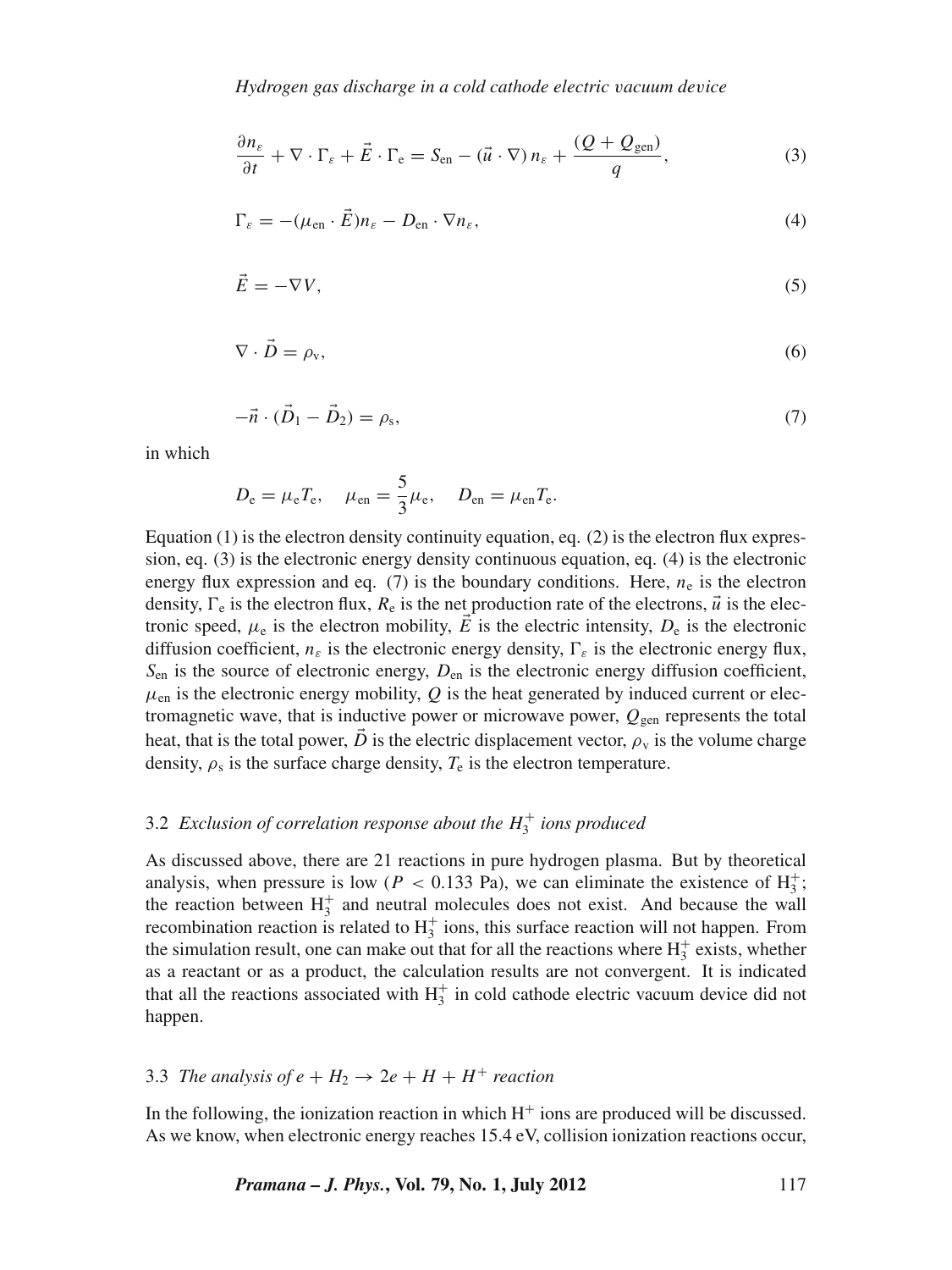$$
\frac{\partial n_{\varepsilon}}{\partial t} + \nabla \cdot \Gamma_{\varepsilon} + \vec{E} \cdot \Gamma_{\rm e} = S_{\rm en} - (\vec{u} \cdot \nabla) n_{\varepsilon} + \frac{(Q + Q_{\rm gen})}{q},\tag{3}
$$

$$
\Gamma_{\varepsilon} = -(\mu_{\text{en}} \cdot \vec{E}) n_{\varepsilon} - D_{\text{en}} \cdot \nabla n_{\varepsilon},\tag{4}
$$

$$
\vec{E} = -\nabla V,\tag{5}
$$

$$
\nabla \cdot \vec{D} = \rho_{\rm v},\tag{6}
$$

$$
-\vec{n} \cdot (\vec{D}_1 - \vec{D}_2) = \rho_s,\tag{7}
$$

in which

$$
D_{\rm e} = \mu_{\rm e} T_{\rm e}, \quad \mu_{\rm en} = \frac{5}{3} \mu_{\rm e}, \quad D_{\rm en} = \mu_{\rm en} T_{\rm e}.
$$

Equation  $(1)$  is the electron density continuity equation, eq.  $(2)$  is the electron flux expression, eq. (3) is the electronic energy density continuous equation, eq. (4) is the electronic energy flux expression and eq.  $(7)$  is the boundary conditions. Here,  $n_e$  is the electron density,  $\Gamma_e$  is the electron flux,  $R_e$  is the net production rate of the electrons,  $\vec{u}$  is the electronic speed,  $\mu_e$  is the electron mobility,  $\vec{E}$  is the electric intensity,  $D_e$  is the electronic diffusion coefficient,  $n_{\varepsilon}$  is the electronic energy density,  $\Gamma_{\varepsilon}$  is the electronic energy flux, *S*en is the source of electronic energy, *D*en is the electronic energy diffusion coefficient,  $\mu_{en}$  is the electronic energy mobility,  $Q$  is the heat generated by induced current or electromagnetic wave, that is inductive power or microwave power,  $Q_{\text{gen}}$  represents the total heat, that is the total power,  $\vec{D}$  is the electric displacement vector,  $\rho_{v}$  is the volume charge density,  $\rho_s$  is the surface charge density,  $T_e$  is the electron temperature.

# 3.2 *Exclusion of correlation response about the*  $H_3^+$  *ions produced*

As discussed above, there are 21 reactions in pure hydrogen plasma. But by theoretical analysis, when pressure is low ( $P < 0.133$  Pa), we can eliminate the existence of  $H_3^+$ ; the reaction between  $H_3^+$  and neutral molecules does not exist. And because the wall recombination reaction is related to  $H_3^+$  ions, this surface reaction will not happen. From the simulation result, one can make out that for all the reactions where  $H_3^+$  exists, whether as a reactant or as a product, the calculation results are not convergent. It is indicated that all the reactions associated with  $H_3^+$  in cold cathode electric vacuum device did not happen.

# 3.3 *The analysis of e* +  $H_2 \rightarrow 2e + H + H^+$  *reaction*

In the following, the ionization reaction in which  $H^+$  ions are produced will be discussed. As we know, when electronic energy reaches 15.4 eV, collision ionization reactions occur,

*Pramana – J. Phys.***, Vol. 79, No. 1, July 2012** 117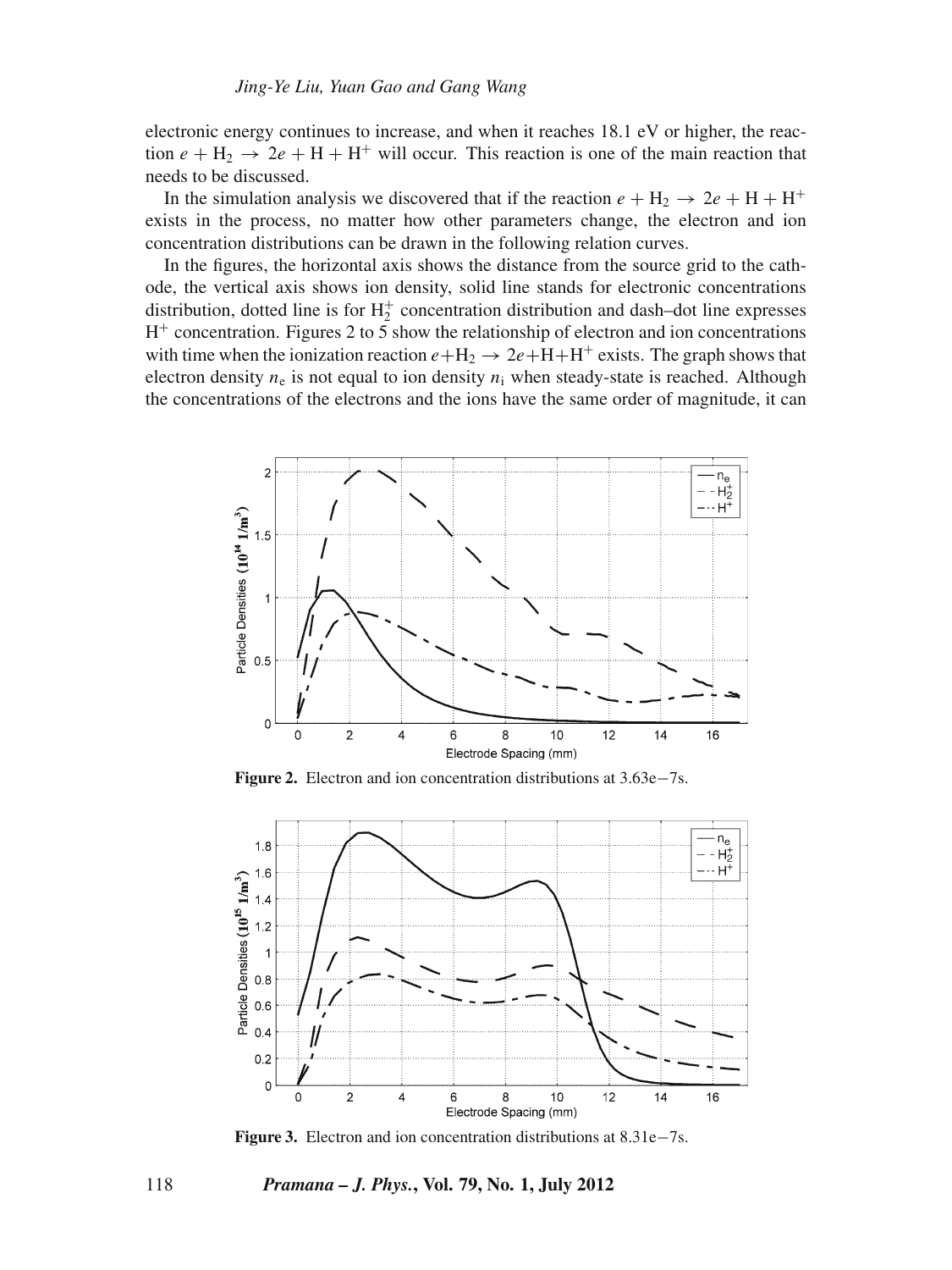electronic energy continues to increase, and when it reaches 18.1 eV or higher, the reaction  $e + H_2 \rightarrow 2e + H + H^+$  will occur. This reaction is one of the main reaction that needs to be discussed.

In the simulation analysis we discovered that if the reaction  $e + H_2 \rightarrow 2e + H + H^+$ exists in the process, no matter how other parameters change, the electron and ion concentration distributions can be drawn in the following relation curves.

In the figures, the horizontal axis shows the distance from the source grid to the cathode, the vertical axis shows ion density, solid line stands for electronic concentrations distribution, dotted line is for  $H_2^+$  concentration distribution and dash-dot line expresses  $H<sup>+</sup>$  concentration. Figures 2 to 5 show the relationship of electron and ion concentrations with time when the ionization reaction  $e + H_2 \rightarrow 2e + H + H^+$  exists. The graph shows that electron density  $n_e$  is not equal to ion density  $n_i$  when steady-state is reached. Although the concentrations of the electrons and the ions have the same order of magnitude, it can



**Figure 2.** Electron and ion concentration distributions at 3.63e−7s.



**Figure 3.** Electron and ion concentration distributions at 8.31e−7s.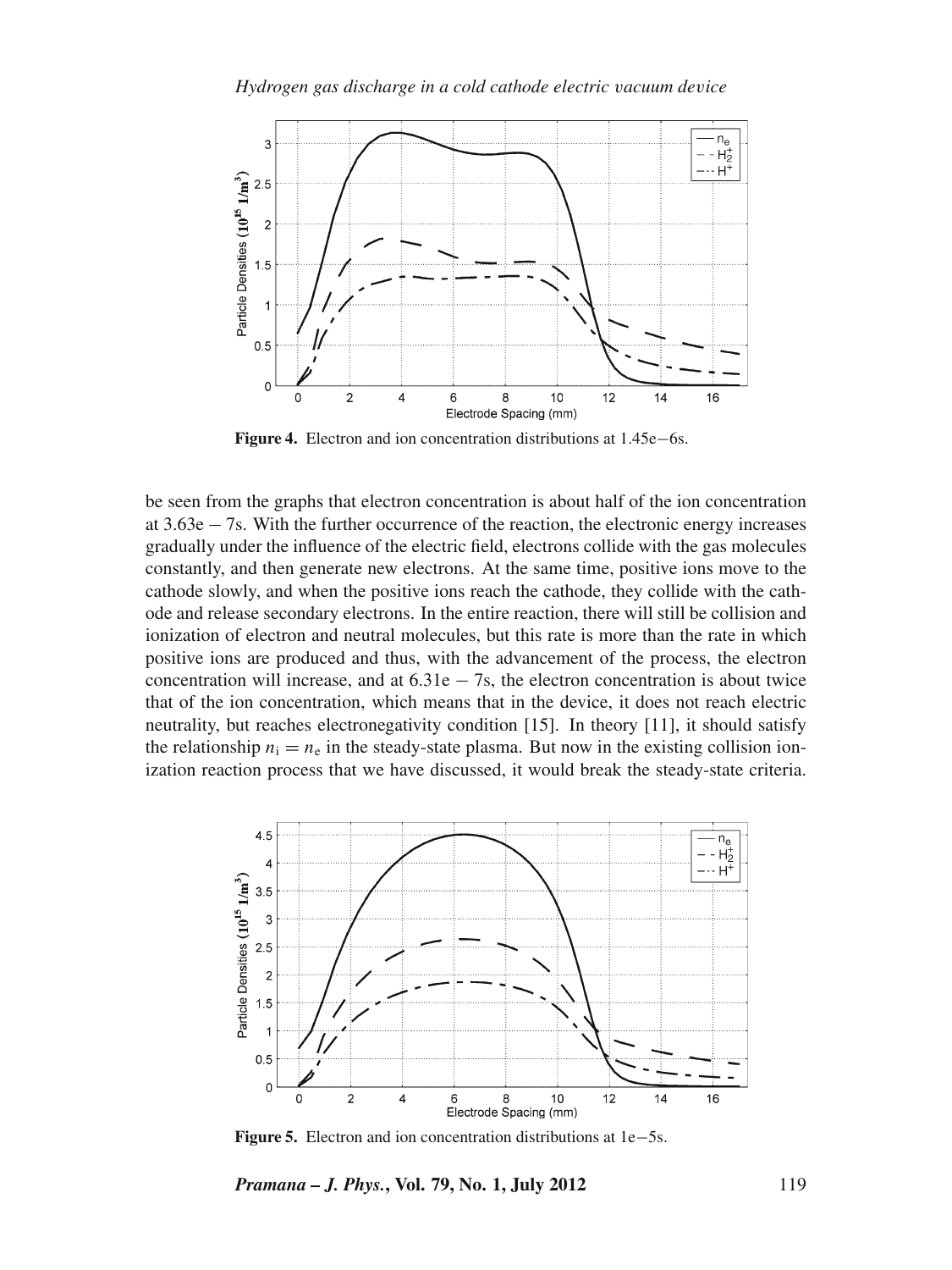

**Figure 4.** Electron and ion concentration distributions at 1.45e−6s.

be seen from the graphs that electron concentration is about half of the ion concentration at 3.63e − 7s. With the further occurrence of the reaction, the electronic energy increases gradually under the influence of the electric field, electrons collide with the gas molecules constantly, and then generate new electrons. At the same time, positive ions move to the cathode slowly, and when the positive ions reach the cathode, they collide with the cathode and release secondary electrons. In the entire reaction, there will still be collision and ionization of electron and neutral molecules, but this rate is more than the rate in which positive ions are produced and thus, with the advancement of the process, the electron concentration will increase, and at  $6.31e - 7s$ , the electron concentration is about twice that of the ion concentration, which means that in the device, it does not reach electric neutrality, but reaches electronegativity condition [15]. In theory [11], it should satisfy the relationship  $n_i = n_e$  in the steady-state plasma. But now in the existing collision ionization reaction process that we have discussed, it would break the steady-state criteria.



**Figure 5.** Electron and ion concentration distributions at 1e−5s.

*Pramana – J. Phys.***, Vol. 79, No. 1, July 2012** 119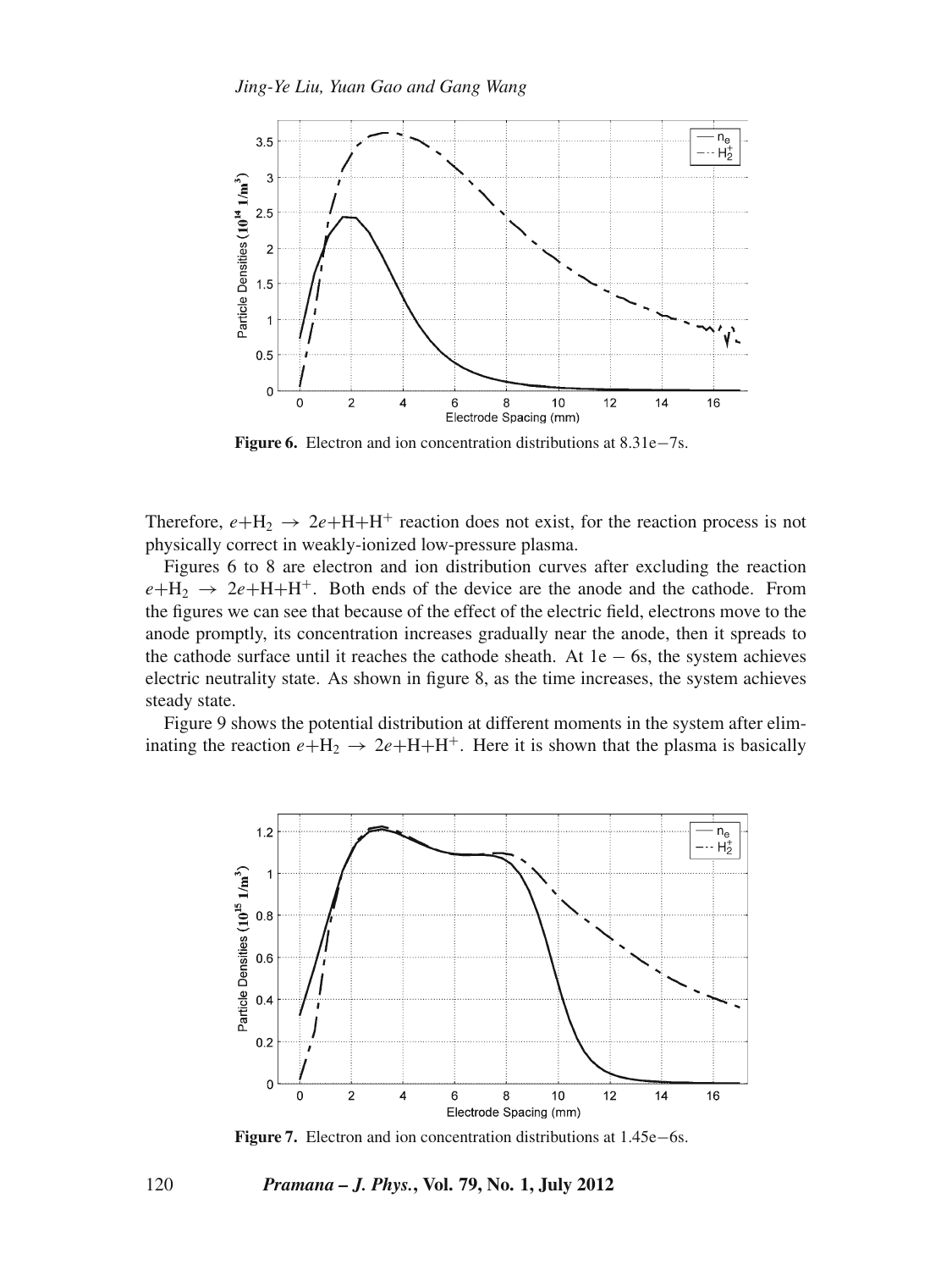

**Figure 6.** Electron and ion concentration distributions at 8.31e−7s.

Therefore,  $e + H_2 \rightarrow 2e + H + H^+$  reaction does not exist, for the reaction process is not physically correct in weakly-ionized low-pressure plasma.

Figures 6 to 8 are electron and ion distribution curves after excluding the reaction  $e + H_2 \rightarrow 2e + H + H^+$ . Both ends of the device are the anode and the cathode. From the figures we can see that because of the effect of the electric field, electrons move to the anode promptly, its concentration increases gradually near the anode, then it spreads to the cathode surface until it reaches the cathode sheath. At  $1e - 6s$ , the system achieves electric neutrality state. As shown in figure 8, as the time increases, the system achieves steady state.

Figure 9 shows the potential distribution at different moments in the system after eliminating the reaction  $e+H_2 \rightarrow 2e+H+H^+$ . Here it is shown that the plasma is basically



**Figure 7.** Electron and ion concentration distributions at 1.45e−6s.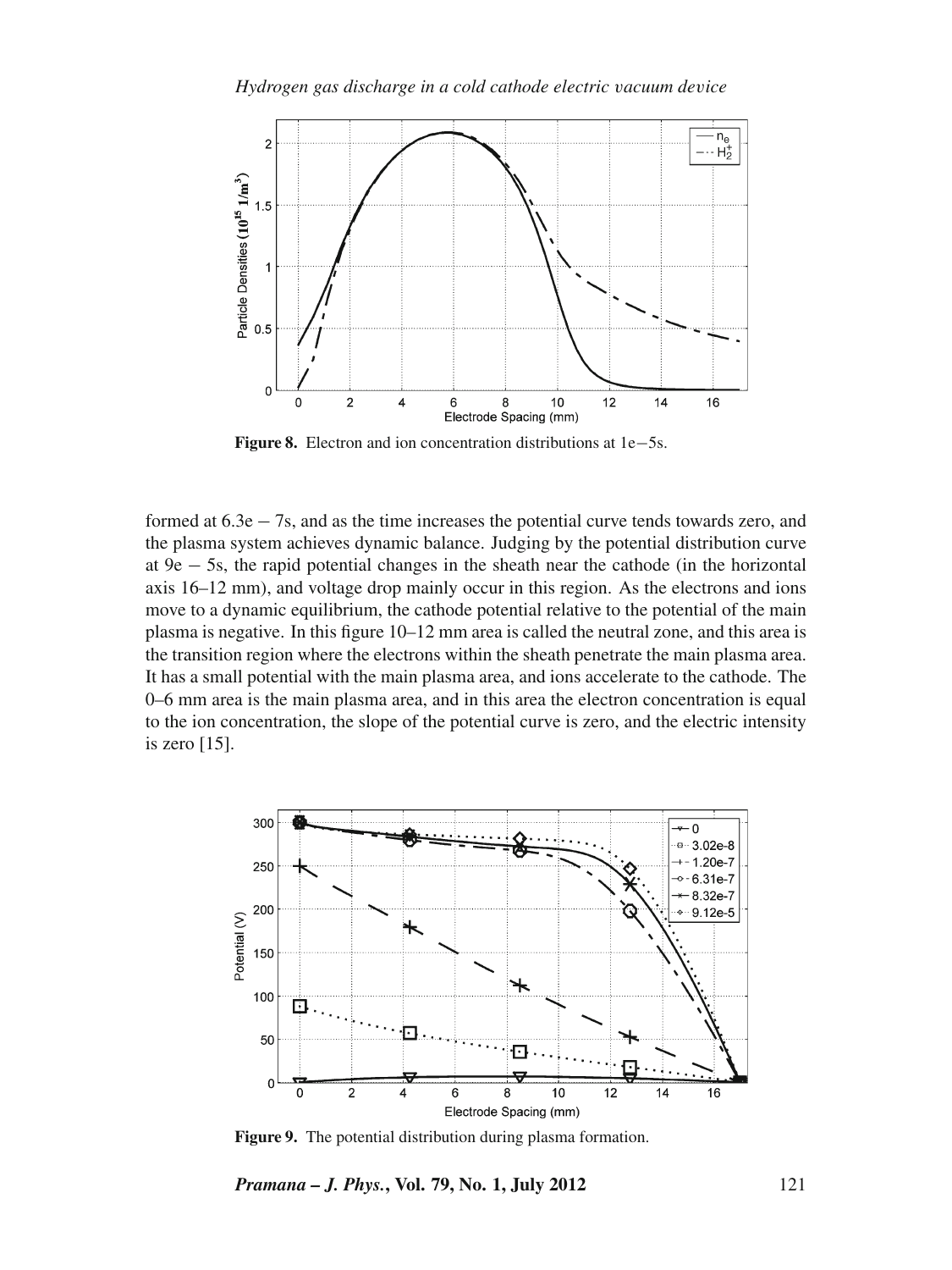

**Figure 8.** Electron and ion concentration distributions at 1e−5s.

formed at 6.3e − 7s, and as the time increases the potential curve tends towards zero, and the plasma system achieves dynamic balance. Judging by the potential distribution curve at 9e − 5s, the rapid potential changes in the sheath near the cathode (in the horizontal axis 16–12 mm), and voltage drop mainly occur in this region. As the electrons and ions move to a dynamic equilibrium, the cathode potential relative to the potential of the main plasma is negative. In this figure 10–12 mm area is called the neutral zone, and this area is the transition region where the electrons within the sheath penetrate the main plasma area. It has a small potential with the main plasma area, and ions accelerate to the cathode. The 0–6 mm area is the main plasma area, and in this area the electron concentration is equal to the ion concentration, the slope of the potential curve is zero, and the electric intensity is zero [15].



**Figure 9.** The potential distribution during plasma formation.

*Pramana – J. Phys.***, Vol. 79, No. 1, July 2012** 121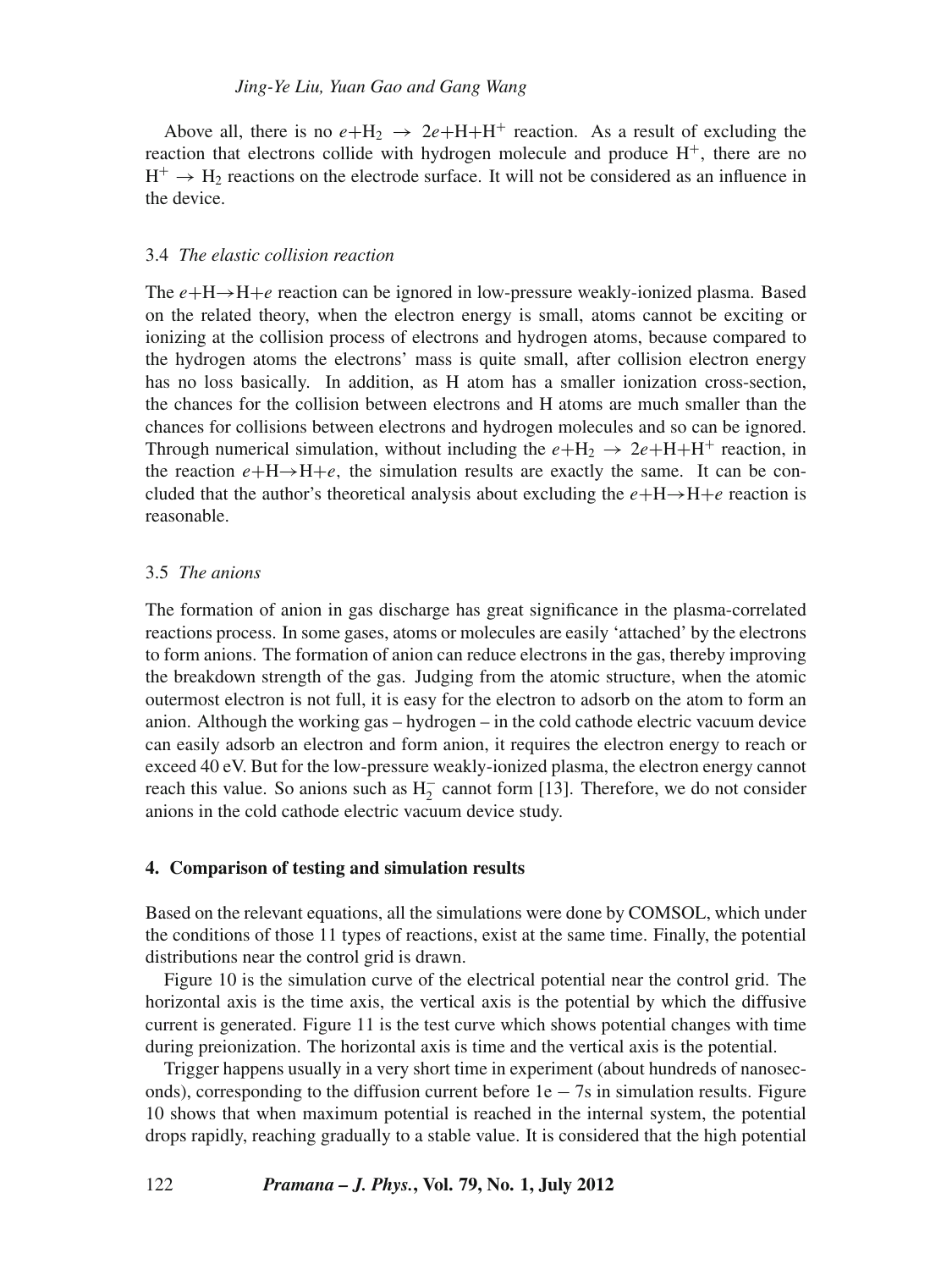Above all, there is no  $e + H_2 \rightarrow 2e + H + H^+$  reaction. As a result of excluding the reaction that electrons collide with hydrogen molecule and produce  $H^+$ , there are no  $H^+ \rightarrow H_2$  reactions on the electrode surface. It will not be considered as an influence in the device.

### 3.4 *The elastic collision reaction*

The *e*+H→H+*e* reaction can be ignored in low-pressure weakly-ionized plasma. Based on the related theory, when the electron energy is small, atoms cannot be exciting or ionizing at the collision process of electrons and hydrogen atoms, because compared to the hydrogen atoms the electrons' mass is quite small, after collision electron energy has no loss basically. In addition, as H atom has a smaller ionization cross-section, the chances for the collision between electrons and H atoms are much smaller than the chances for collisions between electrons and hydrogen molecules and so can be ignored. Through numerical simulation, without including the  $e+H_2 \rightarrow 2e+H+H^+$  reaction, in the reaction  $e + H \rightarrow H + e$ , the simulation results are exactly the same. It can be concluded that the author's theoretical analysis about excluding the  $e + H \rightarrow H + e$  reaction is reasonable.

### 3.5 *The anions*

The formation of anion in gas discharge has great significance in the plasma-correlated reactions process. In some gases, atoms or molecules are easily 'attached' by the electrons to form anions. The formation of anion can reduce electrons in the gas, thereby improving the breakdown strength of the gas. Judging from the atomic structure, when the atomic outermost electron is not full, it is easy for the electron to adsorb on the atom to form an anion. Although the working gas – hydrogen – in the cold cathode electric vacuum device can easily adsorb an electron and form anion, it requires the electron energy to reach or exceed 40 eV. But for the low-pressure weakly-ionized plasma, the electron energy cannot reach this value. So anions such as  $H_2^-$  cannot form [13]. Therefore, we do not consider anions in the cold cathode electric vacuum device study.

### **4. Comparison of testing and simulation results**

Based on the relevant equations, all the simulations were done by COMSOL, which under the conditions of those 11 types of reactions, exist at the same time. Finally, the potential distributions near the control grid is drawn.

Figure 10 is the simulation curve of the electrical potential near the control grid. The horizontal axis is the time axis, the vertical axis is the potential by which the diffusive current is generated. Figure 11 is the test curve which shows potential changes with time during preionization. The horizontal axis is time and the vertical axis is the potential.

Trigger happens usually in a very short time in experiment (about hundreds of nanoseconds), corresponding to the diffusion current before  $1e - 7s$  in simulation results. Figure 10 shows that when maximum potential is reached in the internal system, the potential drops rapidly, reaching gradually to a stable value. It is considered that the high potential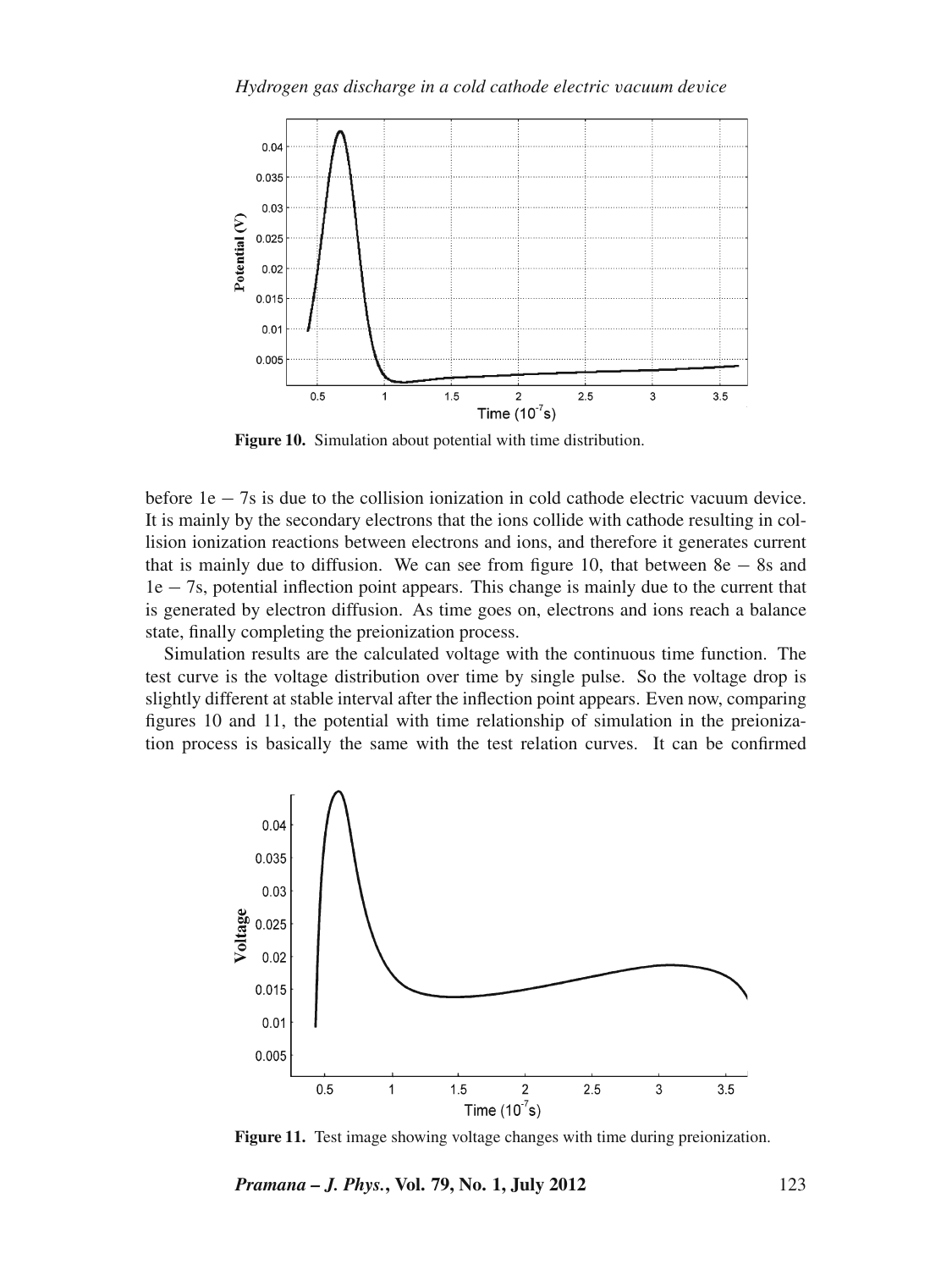

**Figure 10.** Simulation about potential with time distribution.

before 1e − 7s is due to the collision ionization in cold cathode electric vacuum device. It is mainly by the secondary electrons that the ions collide with cathode resulting in collision ionization reactions between electrons and ions, and therefore it generates current that is mainly due to diffusion. We can see from figure 10, that between  $8e - 8s$  and 1e − 7s, potential inflection point appears. This change is mainly due to the current that is generated by electron diffusion. As time goes on, electrons and ions reach a balance state, finally completing the preionization process.

Simulation results are the calculated voltage with the continuous time function. The test curve is the voltage distribution over time by single pulse. So the voltage drop is slightly different at stable interval after the inflection point appears. Even now, comparing figures 10 and 11, the potential with time relationship of simulation in the preionization process is basically the same with the test relation curves. It can be confirmed



**Figure 11.** Test image showing voltage changes with time during preionization.

*Pramana – J. Phys.***, Vol. 79, No. 1, July 2012** 123